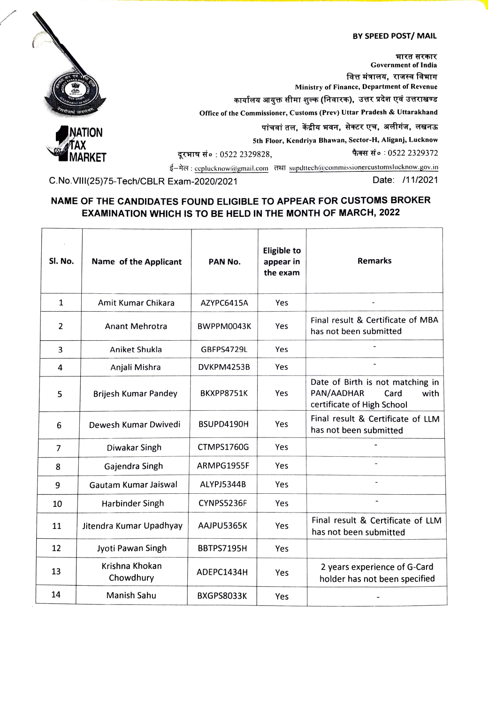## BY SPEED POST/ MAIL



भारत सरकार Government of India वित्त मंत्रालय, राजस्व विभाग Ministry of Finance, Department of Revenue कार्यालय आयुक्त सीमा शुल्क (निवारक), उत्तर प्रदेश एवं उत्तराखण्ड office of the Commissioner, Customs (Prev) Uttar Pradesh & Uttarakhand



पांचवां तल, केंद्रीय भवन, सेक्टर एच, अलीगंज, लखनऊ<br>Sth Floor, Kendriya Bhawan, Sector-H, Aliganj, Lucknow

दूरभाष सं० : 0522 2329828, इरभाष सं० : 0522 2329372

ई-मेल: ccplucknow@gmail.com तथा supdttech@commissionercustomslucknow.gov.in<br>Exam-2020/2021 Date: /11/2021

C.No.VIII(25)75-Tech/CBLR Exam-2020/2021

## NAME OF THE CANDIDATES FOUND ELIGIBLE TO APPEAR FOR CUSTOMS BROKER EXAMINATION WHICH IS TO BE HELD IN THE MONTH OF MARCH, 2022

| SI. No.        | Name of the Applicant       | PAN No.           | <b>Eligible to</b><br>appear in<br>the exam | <b>Remarks</b>                                                                               |
|----------------|-----------------------------|-------------------|---------------------------------------------|----------------------------------------------------------------------------------------------|
| $\mathbf{1}$   | Amit Kumar Chikara          | AZYPC6415A        | Yes                                         |                                                                                              |
| 2              | <b>Anant Mehrotra</b>       | BWPPM0043K        | Yes                                         | Final result & Certificate of MBA<br>has not been submitted                                  |
| 3              | Aniket Shukla               | GBFPS4729L        | Yes                                         |                                                                                              |
| 4              | Anjali Mishra               | DVKPM4253B        | Yes                                         |                                                                                              |
| 5              | <b>Brijesh Kumar Pandey</b> | BKXPP8751K        | Yes                                         | Date of Birth is not matching in<br>PAN/AADHAR<br>Card<br>with<br>certificate of High School |
| 6              | Dewesh Kumar Dwivedi        | BSUPD4190H        | Yes                                         | Final result & Certificate of LLM<br>has not been submitted                                  |
| $\overline{7}$ | Diwakar Singh               | CTMPS1760G        | Yes                                         |                                                                                              |
| 8              | Gajendra Singh              | ARMPG1955F        | Yes                                         |                                                                                              |
| 9              | Gautam Kumar Jaiswal        | ALYPJ5344B        | Yes                                         |                                                                                              |
| 10             | Harbinder Singh             | CYNPS5236F        | Yes                                         | $\overline{a}$                                                                               |
| 11             | Jitendra Kumar Upadhyay     | AAJPU5365K        | Yes                                         | Final result & Certificate of LLM<br>has not been submitted                                  |
| 12             | Jyoti Pawan Singh           | BBTPS7195H        | Yes                                         |                                                                                              |
| 13             | Krishna Khokan<br>Chowdhury | ADEPC1434H        | Yes                                         | 2 years experience of G-Card<br>holder has not been specified                                |
| 14             | Manish Sahu                 | <b>BXGPS8033K</b> | Yes                                         |                                                                                              |